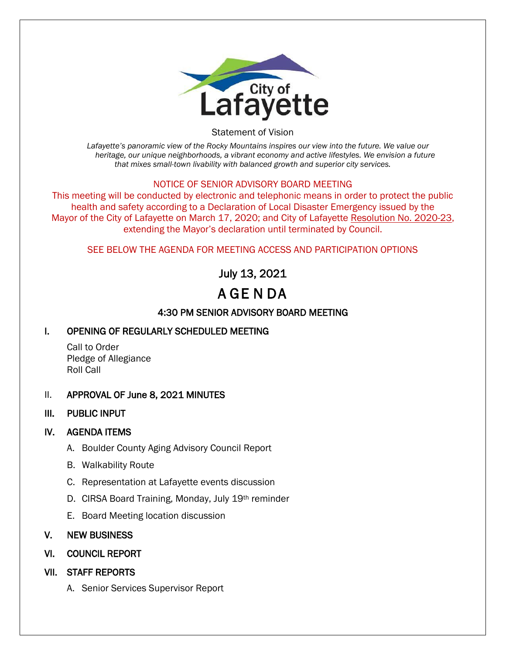

Statement of Vision

*Lafayette's panoramic view of the Rocky Mountains inspires our view into the future. We value our heritage, our unique neighborhoods, a vibrant economy and active lifestyles. We envision a future that mixes small-town livability with balanced growth and superior city services.*

#### NOTICE OF SENIOR ADVISORY BOARD MEETING

This meeting will be conducted by electronic and telephonic means in order to protect the public health and safety according to a Declaration of Local Disaster Emergency issued by the Mayor of the City of Lafayette on March 17, 2020; and City of Lafayette Resolution No. 2020-23, extending the Mayor's declaration until terminated by Council.

#### SEE BELOW THE AGENDA FOR MEETING ACCESS AND PARTICIPATION OPTIONS

# July 13, 2021

# A GE N DA

## 4:30 PM SENIOR ADVISORY BOARD MEETING

### I. OPENING OF REGULARLY SCHEDULED MEETING

Call to Order Pledge of Allegiance Roll Call

#### II. APPROVAL OF June 8, 2021 MINUTES

III. PUBLIC INPUT

#### IV. AGENDA ITEMS

- A. Boulder County Aging Advisory Council Report
- B. Walkability Route
- C. Representation at Lafayette events discussion
- D. CIRSA Board Training, Monday, July 19th reminder
- E. Board Meeting location discussion

#### V. NEW BUSINESS

- VI. COUNCIL REPORT
- VII. STAFF REPORTS
	- A. Senior Services Supervisor Report